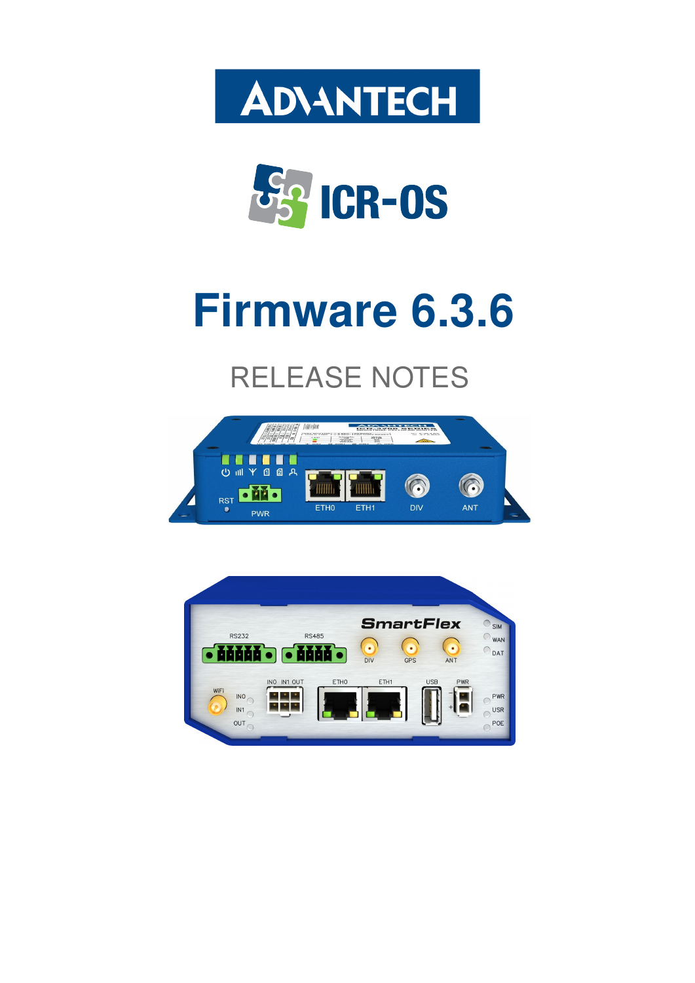



# Firmware 6.3.6

# RELEASE NOTES



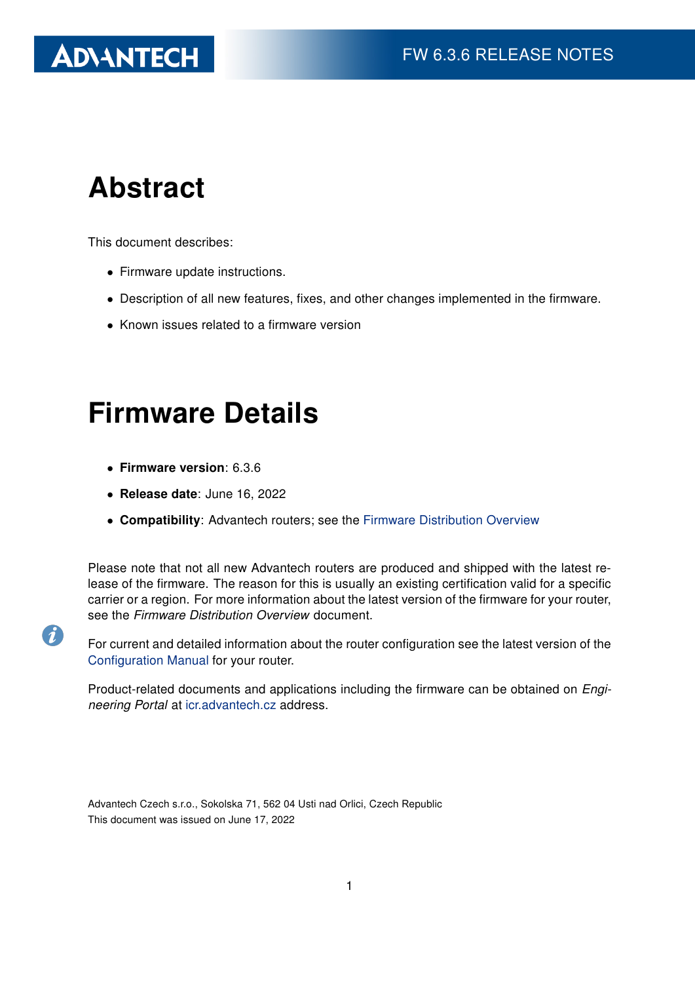# **ADVANTECH**

# Abstract

This document describes:

- Firmware update instructions.
- Description of all new features, fixes, and other changes implemented in the firmware.
- Known issues related to a firmware version

# Firmware Details

• Firmware version: 6.3.6

6

- Release date: June 16, 2022
- Compatibility: Advantech routers; see the [Firmware Distribution Overview](https://icr.advantech.cz/firmware)

Please note that not all new Advantech routers are produced and shipped with the latest release of the firmware. The reason for this is usually an existing certification valid for a specific carrier or a region. For more information about the latest version of the firmware for your router, see the Firmware Distribution Overview document.

For current and detailed information about the router configuration see the latest version of the [Configuration Manual](https://icr.advantech.cz/support/router-models) for your router.

Product-related documents and applications including the firmware can be obtained on *Engi*neering Portal at [icr.advantech.cz](https://icr.advantech.cz/) address.

Advantech Czech s.r.o., Sokolska 71, 562 04 Usti nad Orlici, Czech Republic This document was issued on June 17, 2022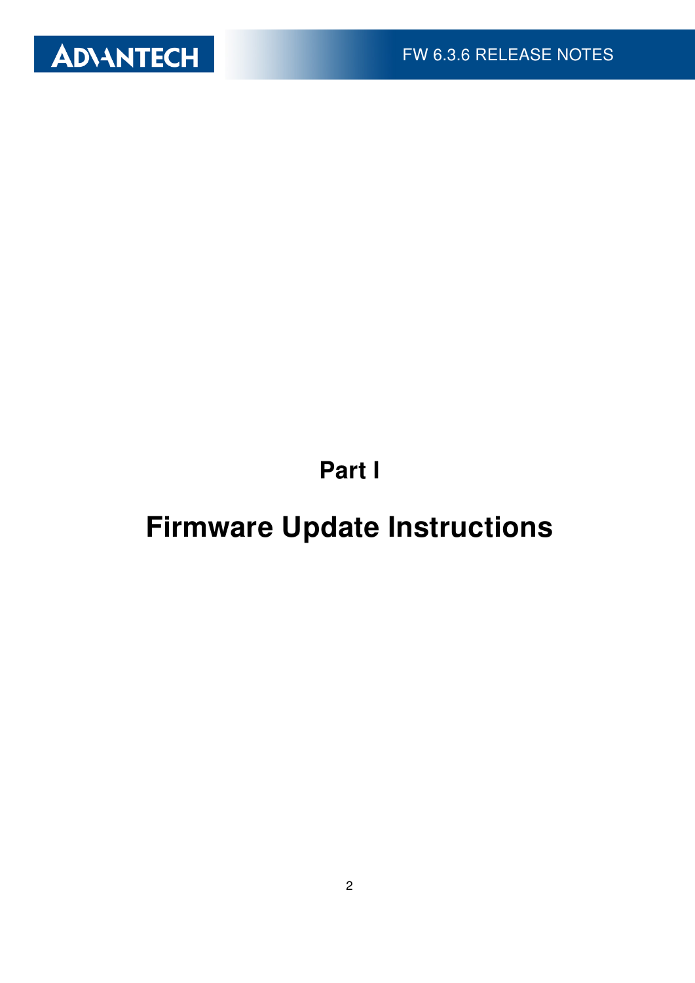

Part I

# <span id="page-2-0"></span>Firmware Update Instructions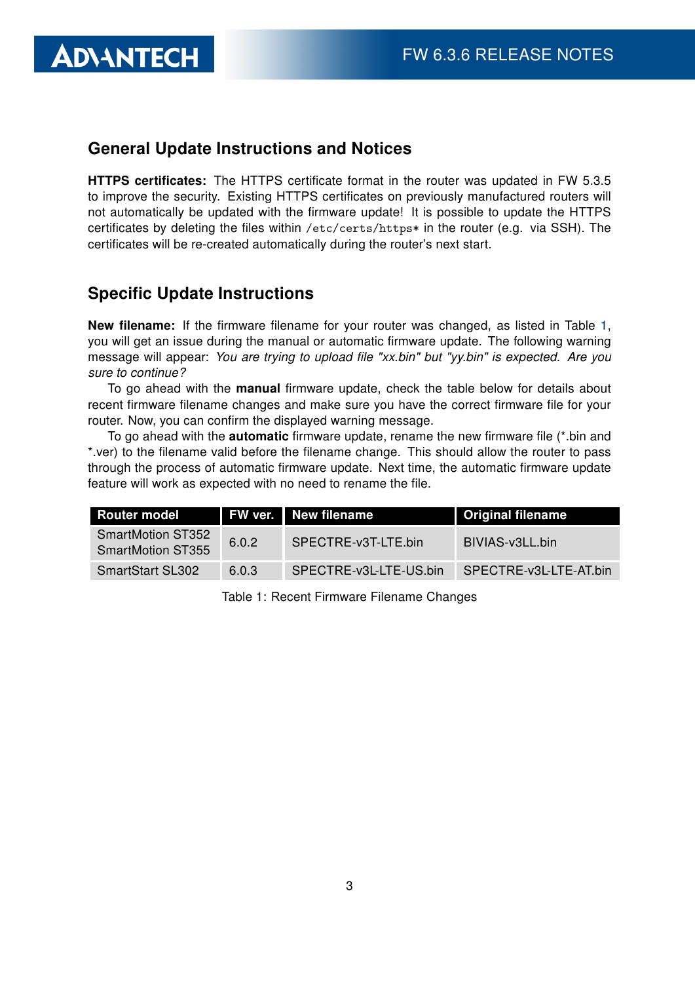#### General Update Instructions and Notices

HTTPS certificates: The HTTPS certificate format in the router was updated in FW 5.3.5 to improve the security. Existing HTTPS certificates on previously manufactured routers will not automatically be updated with the firmware update! It is possible to update the HTTPS certificates by deleting the files within /etc/certs/https\* in the router (e.g. via SSH). The certificates will be re-created automatically during the router's next start.

#### Specific Update Instructions

**ADIANTECH** 

New filename: If the firmware filename for your router was changed, as listed in Table [1,](#page-3-0) you will get an issue during the manual or automatic firmware update. The following warning message will appear: You are trying to upload file "xx.bin" but "yy.bin" is expected. Are you sure to continue?

To go ahead with the **manual** firmware update, check the table below for details about recent firmware filename changes and make sure you have the correct firmware file for your router. Now, you can confirm the displayed warning message.

To go ahead with the **automatic** firmware update, rename the new firmware file (\*.bin and \*.ver) to the filename valid before the filename change. This should allow the router to pass through the process of automatic firmware update. Next time, the automatic firmware update feature will work as expected with no need to rename the file.

| <b>Router model</b>                                  |       | <b>FW ver.</b> New filename | <b>Original filename</b> |
|------------------------------------------------------|-------|-----------------------------|--------------------------|
| <b>SmartMotion ST352</b><br><b>SmartMotion ST355</b> | 6.0.2 | SPECTRE-v3T-LTE.bin         | BIVIAS-v3LL.bin          |
| <b>SmartStart SL302</b>                              | 6.0.3 | SPECTRE-v3L-LTE-US.bin      | SPECTRE-v3L-LTE-AT.bin   |

<span id="page-3-0"></span>Table 1: Recent Firmware Filename Changes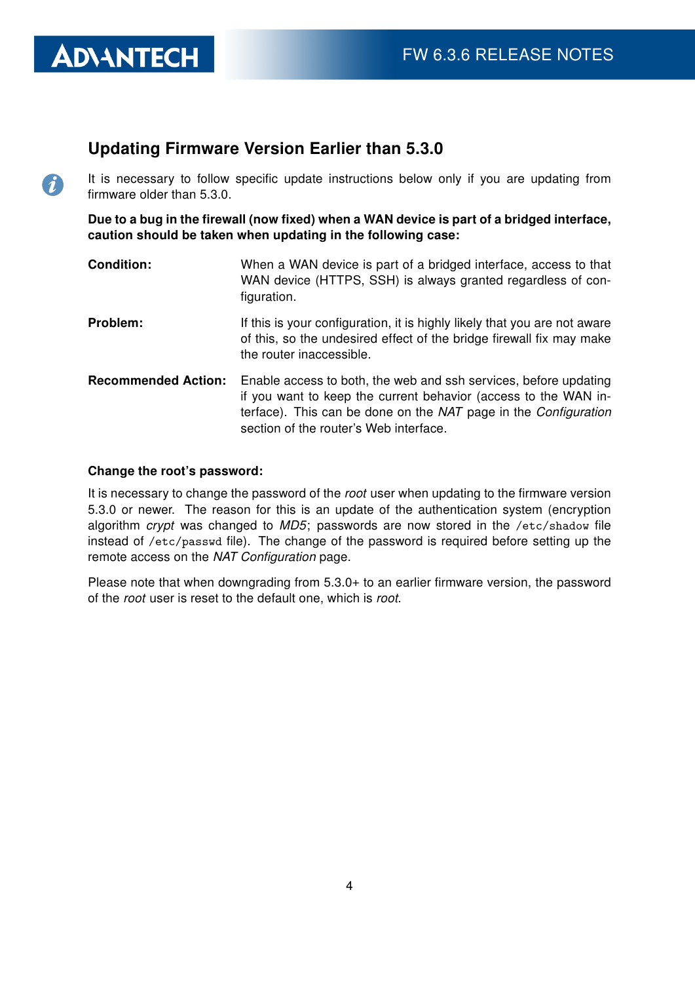#### Updating Firmware Version Earlier than 5.3.0

It is necessary to follow specific update instructions below only if you are updating from firmware older than 5.3.0.

Due to a bug in the firewall (now fixed) when a WAN device is part of a bridged interface, caution should be taken when updating in the following case:

- **Condition:** When a WAN device is part of a bridged interface, access to that WAN device (HTTPS, SSH) is always granted regardless of configuration.
- **Problem:** If this is your configuration, it is highly likely that you are not aware of this, so the undesired effect of the bridge firewall fix may make the router inaccessible.
- Recommended Action: Enable access to both, the web and ssh services, before updating if you want to keep the current behavior (access to the WAN interface). This can be done on the NAT page in the Configuration section of the router's Web interface.

#### Change the root's password:

**ADVANTECH** 

 $\Omega$ 

It is necessary to change the password of the root user when updating to the firmware version 5.3.0 or newer. The reason for this is an update of the authentication system (encryption algorithm crypt was changed to  $MD5$ ; passwords are now stored in the /etc/shadow file instead of /etc/passwd file). The change of the password is required before setting up the remote access on the NAT Configuration page.

Please note that when downgrading from 5.3.0+ to an earlier firmware version, the password of the root user is reset to the default one, which is root.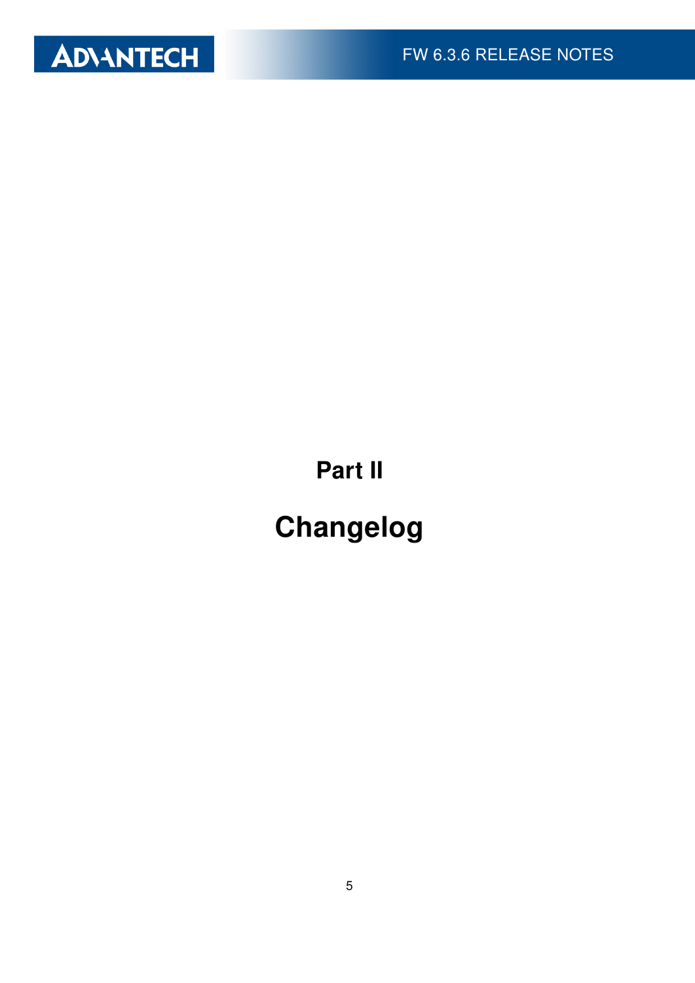

Part II

# Changelog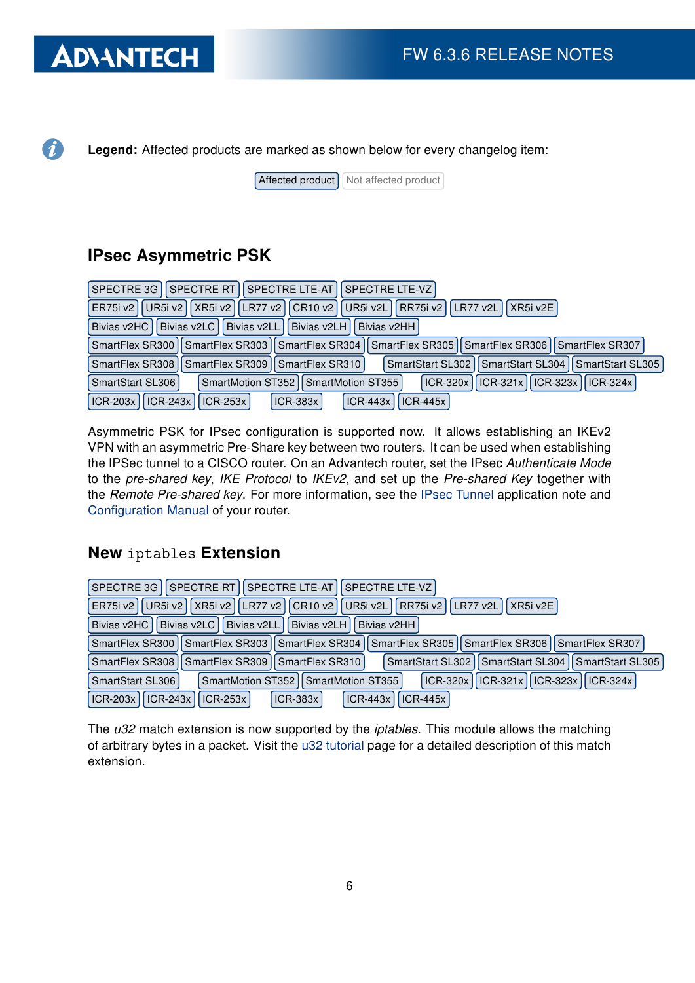# **ADVANTECH**

 $\boldsymbol{d}$ 

Legend: Affected products are marked as shown below for every changelog item:

 $[After the correct]$  Not affected product

### IPsec Asymmetric PSK

| UR5i v2    XR5i v2    LR77 v2    CR10 v2    UR5i v2L    RR75i v2    LR77 v2L    XR5i v2E  <br>ER75i v2         |
|----------------------------------------------------------------------------------------------------------------|
| Bivias v2LL Divias v2LH<br>Bivias v2HC<br>Bivias v2LC<br>Bivias v2HH                                           |
| SmartFlex SR300    SmartFlex SR303    SmartFlex SR304    SmartFlex SR305    SmartFlex SR306    SmartFlex SR307 |
| SmartStart SL302   SmartStart SL304   SmartStart SL305<br>SmartFlex SR308   SmartFlex SR309   SmartFlex SR310  |
| ICR-320x    ICR-321x    ICR-323x    ICR-324x  <br>SmartStart SL306<br>SmartMotion ST352   SmartMotion ST355    |
| ICR-203x    ICR-243x    ICR-253x  <br>$ ICR-443x $<br>$ICR-383x$<br>$ICR-445x$                                 |

Asymmetric PSK for IPsec configuration is supported now. It allows establishing an IKEv2 VPN with an asymmetric Pre-Share key between two routers. It can be used when establishing the IPSec tunnel to a CISCO router. On an Advantech router, set the IPsec Authenticate Mode to the pre-shared key, IKE Protocol to IKEv2, and set up the Pre-shared Key together with the Remote Pre-shared key. For more information, see the [IPsec Tunnel](https://icr.advantech.cz/download/application-notes#ipsec-tunnel) application note and [Configuration Manual](https://icr.advantech.cz/support/router-models) of your router.

### New iptables Extension

| SPECTRE 3G   SPECTRE RT   SPECTRE LTE-AT   SPECTRE LTE-VZ                                                        |
|------------------------------------------------------------------------------------------------------------------|
| UR5i v2    XR5i v2    LR77 v2    CR10 v2    UR5i v2L    RR75i v2    LR77 v2L  <br>I XR5i v2E<br>ER75i v21        |
| Bivias v2HC   Bivias v2LC  <br>Bivias v2LL I Bivias v2LH I<br>Bivias v2HH                                        |
| SmartFlex SR300   SmartFlex SR303   SmartFlex SR304   SmartFlex SR305   SmartFlex SR306   SmartFlex SR307        |
| SmartFlex SR308   SmartFlex SR309   SmartFlex SR310  <br>SmartStart SL302   SmartStart SL304   SmartStart SL305  |
| $\vert$ ICR-320x   ICR-321x   ICR-323x   ICR-324x  <br>SmartMotion ST352   SmartMotion ST355<br>SmartStart SL306 |
| ICR-203x   ICR-243x   ICR-253x  <br>$ICR-443x$<br>$ICR-445x$<br>$ICR-383x$                                       |

The u32 match extension is now supported by the *iptables*. This module allows the matching of arbitrary bytes in a packet. Visit the [u32 tutorial](http://www.stearns.org/doc/iptables-u32.current.html) page for a detailed description of this match extension.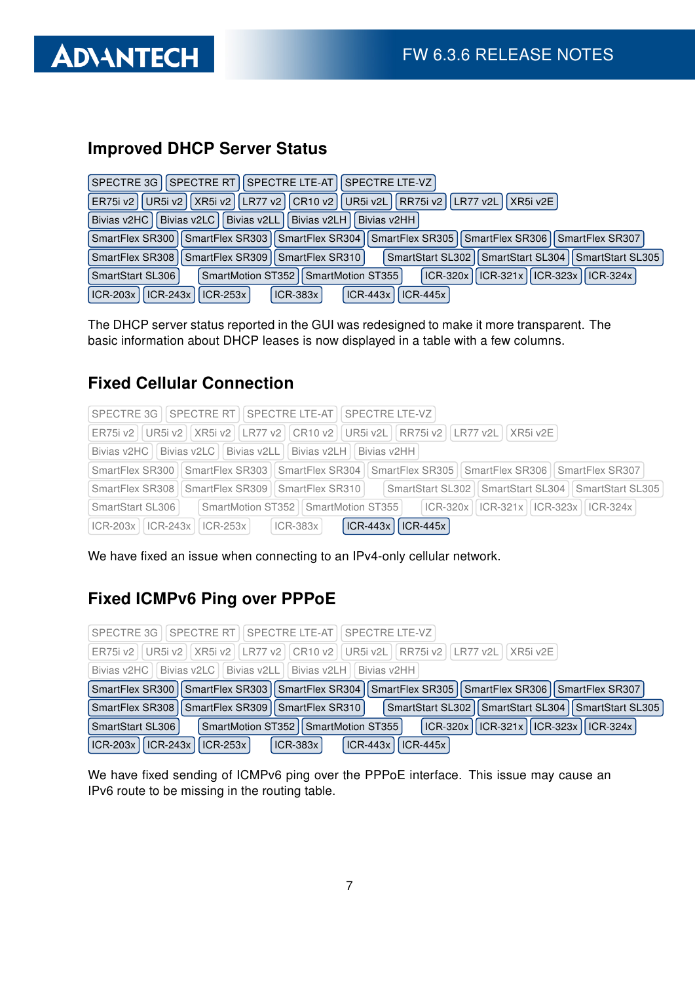

### Improved DHCP Server Status

| SPECTRE 3G   SPECTRE RT   SPECTRE LTE-AT   SPECTRE LTE-VZ                                                         |
|-------------------------------------------------------------------------------------------------------------------|
| UR5i v2    XR5i v2    LR77 v2    CR10 v2    UR5i v2L    RR75i v2    LR77 v2L    XR5i v2E  <br>ER75i v2            |
| Bivias v2LL Bivias v2LH<br>Bivias v2LC<br>Bivias v2HC<br>Bivias v2HH                                              |
| SmartFlex SR300    SmartFlex SR303    SmartFlex SR304    SmartFlex SR305    SmartFlex SR306    SmartFlex SR307    |
| SmartFlex SR308   SmartFlex SR309   SmartFlex SR310  <br>SmartStart SL302    SmartStart SL304    SmartStart SL305 |
| $ CR-320x   ICR-321x   ICR-323x   ICR-324x $<br>SmartMotion ST352   SmartMotion ST355  <br>SmartStart SL306       |
| $ CR-203x $ $ CR-243x $<br>$ ICR-253x $<br>$ICR-383x$<br>$ICR-443x$<br>$ICR-445x$                                 |

The DHCP server status reported in the GUI was redesigned to make it more transparent. The basic information about DHCP leases is now displayed in a table with a few columns.

#### Fixed Cellular Connection

| SPECTRE 3G   SPECTRE RT   SPECTRE LTE-AT   SPECTRE LTE-VZ                                                          |
|--------------------------------------------------------------------------------------------------------------------|
| ER75i v2   UR5i v2   XR5i v2   LR77 v2   CR10 v2   UR5i v2L   RR75i v2   LR77 v2L   XR5i v2E                       |
| Bivias v2HC   Bivias v2LC   Bivias v2LL   Bivias v2LH   Bivias v2HH                                                |
| SmartFlex SR300   SmartFlex SR303    SmartFlex SR304    SmartFlex SR305    SmartFlex SR306    SmartFlex SR307      |
| SmartStart SL302    SmartStart SL304    SmartStart SL305<br>SmartFlex SR309   SmartFlex SR310  <br>SmartFlex SR308 |
| ICR-320x    ICR-321x    ICR-323x    ICR-324x  <br>SmartMotion ST352   SmartMotion ST355  <br>SmartStart SL306      |
| $ ICR-443x $<br>$ICR-445x$<br>$ CR-203x $   $ CR-243x $   $ CR-253x $<br>$ ICR-383x $                              |

We have fixed an issue when connecting to an IPv4-only cellular network.

### Fixed ICMPv6 Ping over PPPoE

| SPECTRE 3G   SPECTRE RT   SPECTRE LTE-AT   SPECTRE LTE-VZ                                                       |
|-----------------------------------------------------------------------------------------------------------------|
| ER75i v2   UR5i v2   XR5i v2   LR77 v2   CR10 v2   UR5i v2L   RR75i v2   LR77 v2L   XR5i v2E                    |
| Bivias v2HC   Bivias v2LC   Bivias v2LL   Bivias v2LH   Bivias v2HH                                             |
| SmartFlex SR300   SmartFlex SR303   SmartFlex SR304   SmartFlex SR305   SmartFlex SR306   SmartFlex SR307       |
| SmartFlex SR308   SmartFlex SR309   SmartFlex SR310  <br>SmartStart SL302   SmartStart SL304   SmartStart SL305 |
| ICR-320x    ICR-321x    ICR-323x    ICR-324x  <br>SmartMotion ST352   SmartMotion ST355  <br>SmartStart SL306   |
| $ CR-203x $ ICR-243x   ICR-253x  <br>ICR-443x   ICR-445x<br>$ ICR-383x $                                        |

We have fixed sending of ICMPv6 ping over the PPPoE interface. This issue may cause an IPv6 route to be missing in the routing table.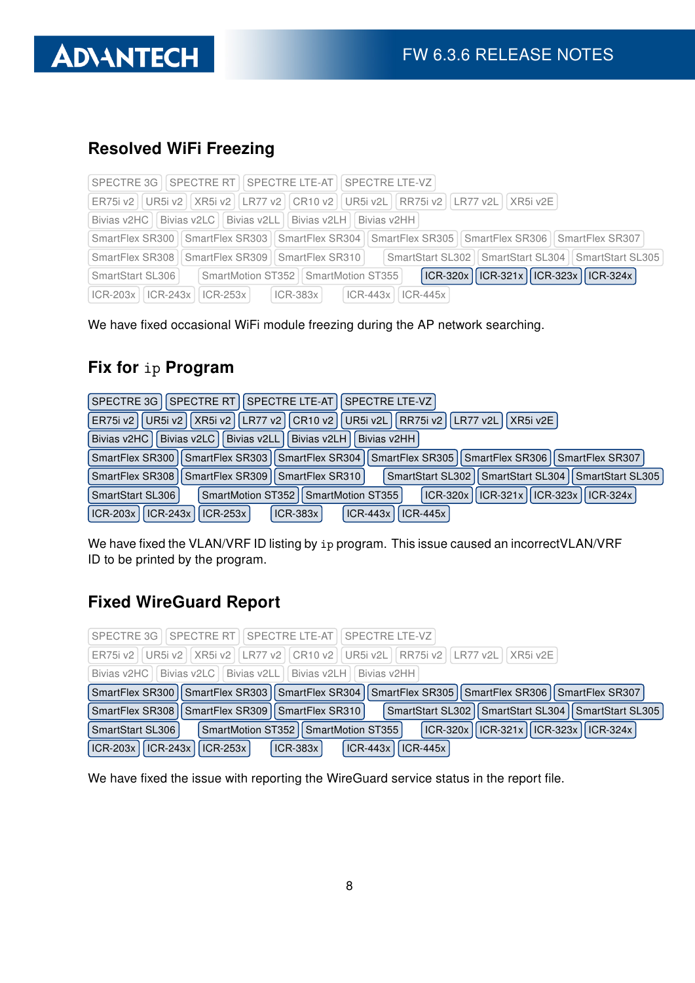### Resolved WiFi Freezing

|                                                                                                            | SPECTRE 3G   SPECTRE RT   SPECTRE LTE-AT   SPECTRE LTE-VZ                                                      |  |  |  |
|------------------------------------------------------------------------------------------------------------|----------------------------------------------------------------------------------------------------------------|--|--|--|
| ER75i v2   UR5i v2     XR5i v2     LR77 v2     CR10 v2     UR5i v2L     RR75i v2     LR77 v2L     XR5i v2E |                                                                                                                |  |  |  |
|                                                                                                            | Bivias v2HC   Bivias v2LC   Bivias v2LL   Bivias v2LH   Bivias v2HH                                            |  |  |  |
|                                                                                                            | SmartFlex SR300    SmartFlex SR303    SmartFlex SR304    SmartFlex SR305    SmartFlex SR306    SmartFlex SR307 |  |  |  |
|                                                                                                            | SmartStart SL302   SmartStart SL304   SmartStart SL305<br>SmartFlex SR308   SmartFlex SR309   SmartFlex SR310  |  |  |  |
| SmartStart SL306                                                                                           | ICR-320x    ICR-321x    ICR-323x    ICR-324x  <br>SmartMotion ST352   SmartMotion ST355                        |  |  |  |
| $ CR-203x $   $ CR-243x $   $ CR-253x $                                                                    | $ ICR-383x $<br>$ ICR-443x $<br>$ICR-445x$                                                                     |  |  |  |

We have fixed occasional WiFi module freezing during the AP network searching.

### Fix for ip Program

| SPECTRE RT   SPECTRE LTE-AT   SPECTRE LTE-VZ  <br>SPECTRE 3G                                                     |
|------------------------------------------------------------------------------------------------------------------|
| UR5i v2    XR5i v2    LR77 v2    CR10 v2    UR5i v2L    RR75i v2    LR77 v2L  <br>XRSi v2E<br>ER75i v2           |
| Bivias v2HC   Bivias v2LC   Bivias v2LL   Bivias v2LH  <br>Bivias v2HH                                           |
| SmartFlex SR300   SmartFlex SR303   SmartFlex SR304   SmartFlex SR305   SmartFlex SR306   SmartFlex SR307        |
| SmartStart SL302   SmartStart SL304   SmartStart SL305<br>SmartFlex SR309   SmartFlex SR310  <br>SmartFlex SR308 |
| ICR-320x    ICR-321x    ICR-323x    ICR-324x  <br>SmartStart SL306<br>SmartMotion ST352   SmartMotion ST355      |
| $ICR-203x$<br>ICR-243x   ICR-253x  <br>$ ICR-443x $<br><b>ICR-383x</b><br>$ ICR-445x $                           |

We have fixed the VLAN/VRF ID listing by ip program. This issue caused an incorrectVLAN/VRF ID to be printed by the program.

### Fixed WireGuard Report

| SPECTRE 3G   SPECTRE RT   SPECTRE LTE-AT   SPECTRE LTE-VZ                                                       |
|-----------------------------------------------------------------------------------------------------------------|
| ER75i v2   UR5i v2   XR5i v2   LR77 v2   CR10 v2   UR5i v2L   RR75i v2   LR77 v2L   XR5i v2E                    |
| Bivias v2HC   Bivias v2LC   Bivias v2LL   Bivias v2LH   Bivias v2HH                                             |
| SmartFlex SR300   SmartFlex SR303   SmartFlex SR304   SmartFlex SR305   SmartFlex SR306   SmartFlex SR307       |
| SmartFlex SR308   SmartFlex SR309   SmartFlex SR310  <br>SmartStart SL302   SmartStart SL304   SmartStart SL305 |
| ICR-320x    ICR-321x    ICR-323x    ICR-324x  <br>SmartMotion ST352   SmartMotion ST355  <br>SmartStart SL306   |
| ICR-203x   ICR-243x   ICR-253x  <br>$\vert$ ICR-443x $\vert$ ICR-445x<br>$ ICR-383x $                           |

We have fixed the issue with reporting the WireGuard service status in the report file.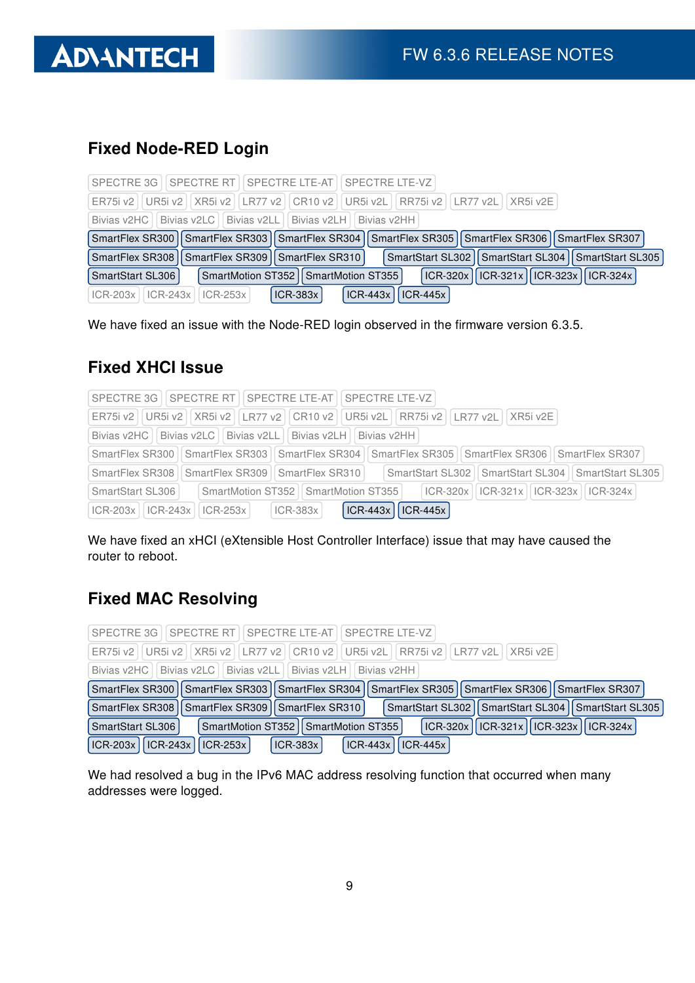

# Fixed Node-RED Login

| SPECTRE 3G   SPECTRE RT   SPECTRE LTE-AT   SPECTRE LTE-VZ                                                       |
|-----------------------------------------------------------------------------------------------------------------|
| ER75i v2   UR5i v2   XR5i v2   LR77 v2   CR10 v2   UR5i v2L   RR75i v2   LR77 v2L   XR5i v2E                    |
| Bivias v2HC   Bivias v2LC   Bivias v2LL   Bivias v2LH   Bivias v2HH                                             |
| SmartFlex SR300   SmartFlex SR303   SmartFlex SR304   SmartFlex SR305   SmartFlex SR306   SmartFlex SR307       |
| SmartFlex SR308   SmartFlex SR309   SmartFlex SR310  <br>SmartStart SL302   SmartStart SL304   SmartStart SL305 |
| ICR-320x    ICR-321x    ICR-323x    ICR-324x  <br>SmartMotion ST352   SmartMotion ST355  <br>SmartStart SL306   |
| $ICR-443x$<br><b>ICR-383x</b><br>$ICR-445x$<br>$ CR-203x $   $ CR-243x $   $ CR-253x $                          |

We have fixed an issue with the Node-RED login observed in the firmware version 6.3.5.

### Fixed XHCI Issue

|                                                                                                            | SPECTRE 3G   SPECTRE RT   SPECTRE LTE-AT   SPECTRE LTE-VZ                                                                       |  |  |
|------------------------------------------------------------------------------------------------------------|---------------------------------------------------------------------------------------------------------------------------------|--|--|
| ER75i v2   UR5i v2     XR5i v2     LR77 v2     CR10 v2     UR5i v2L     RR75i v2     LR77 v2L     XR5i v2E |                                                                                                                                 |  |  |
|                                                                                                            | Bivias v2HC   Bivias v2LC   Bivias v2LL   Bivias v2LH   Bivias v2HH                                                             |  |  |
|                                                                                                            | SmartFlex SR300   SmartFlex SR303   SmartFlex SR304   SmartFlex SR305   SmartFlex SR306   SmartFlex SR307                       |  |  |
| SmartFlex SR308   SmartFlex SR309                                                                          | SmartStart SL302   SmartStart SL304   SmartStart SL305<br>SmartFlex SR310                                                       |  |  |
| SmartStart SL306                                                                                           | $\mid$ SmartMotion ST352 $\mid$ SmartMotion ST355 $\mid$ $\mid$ ICR-320x $\mid$ ICR-321x $\mid$ ICR-323x $\mid$ ICR-324x $\mid$ |  |  |
| $ICR-203x$   $ICR-243x$                                                                                    | $ ICR-443x $<br>$ ICR-445x $<br>$ ICR-383x $<br>$ ICR-253x $                                                                    |  |  |

We have fixed an xHCI (eXtensible Host Controller Interface) issue that may have caused the router to reboot.

# Fixed MAC Resolving

| SPECTRE 3G   SPECTRE RT   SPECTRE LTE-AT   SPECTRE LTE-VZ                                                       |
|-----------------------------------------------------------------------------------------------------------------|
| ER75i v2   UR5i v2   XR5i v2   LR77 v2   CR10 v2   UR5i v2L   RR75i v2   LR77 v2L   XR5i v2E                    |
| Bivias v2HC   Bivias v2LC   Bivias v2LL   Bivias v2LH   Bivias v2HH                                             |
| SmartFlex SR300   SmartFlex SR303   SmartFlex SR304   SmartFlex SR305   SmartFlex SR306   SmartFlex SR307       |
| SmartStart SL302   SmartStart SL304   SmartStart SL305  <br>SmartFlex SR308   SmartFlex SR309   SmartFlex SR310 |
| ICR-320x    ICR-321x    ICR-323x    ICR-324x  <br>SmartMotion ST352   SmartMotion ST355  <br>SmartStart SL306   |
| $ CR-203x $ $ CR-243x $ $ CR-253x $<br>ICR-443x   ICR-445x<br>$ ICR-383x $                                      |

We had resolved a bug in the IPv6 MAC address resolving function that occurred when many addresses were logged.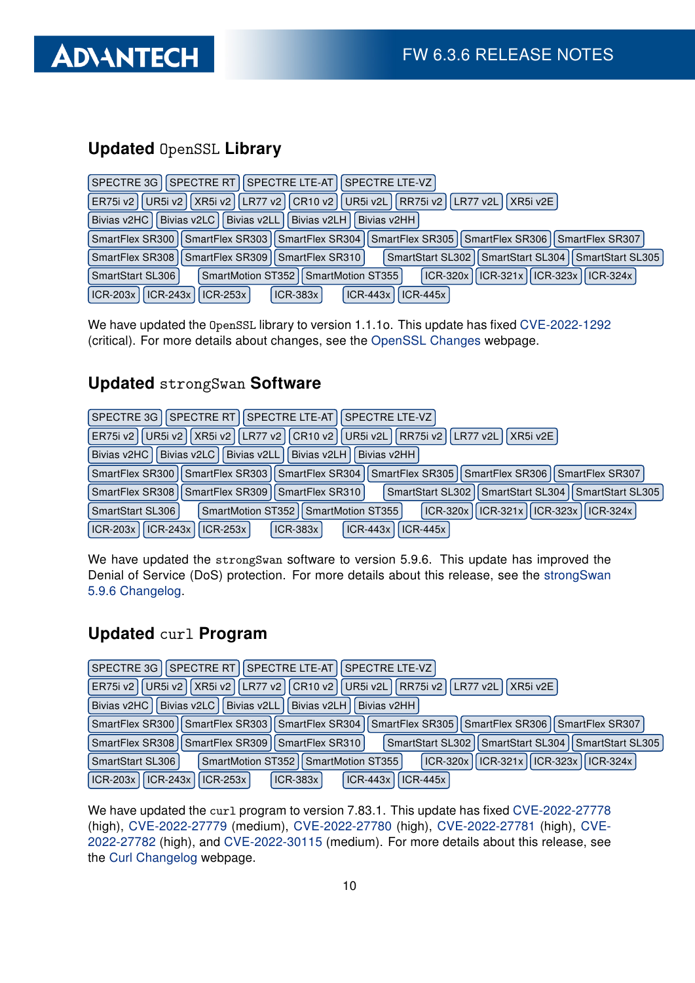

# Updated OpenSSL Library

| SPECTRE RT   SPECTRE LTE-AT   SPECTRE LTE-VZ  <br>SPECTRE 3G                                                      |
|-------------------------------------------------------------------------------------------------------------------|
| LR77 v2    CR10 v2  <br>UR5i v2   XR5i v2  <br>   UR5i v2L    RR75i v2    LR77 v2L<br>ER75i v2<br>XR5i v2E        |
| <b>Bivias v2LC</b><br>Bivias v2LL Bivias v2LH<br>Bivias v2HC<br>Bivias v2HH                                       |
| SmartFlex SR300   SmartFlex SR303   SmartFlex SR304   SmartFlex SR305   SmartFlex SR306   SmartFlex SR307         |
| SmartFlex SR308   SmartFlex SR309   SmartFlex SR310  <br>SmartStart SL302    SmartStart SL304    SmartStart SL305 |
| ICR-320x   ICR-321x   ICR-323x   ICR-324x  <br>SmartMotion ST352   SmartMotion ST355<br>SmartStart SL306          |
| $ ICR-243x $<br>$ICR-203x$<br>$ICR-253x$<br>$ICR-383x$<br>$ICR-443x$<br>$ICR-445x$                                |

We have updated the OpenSSL library to version 1.1.1o. This update has fixed [CVE-2022-1292](https://nvd.nist.gov/vuln/detail/CVE-2022-1292) (critical). For more details about changes, see the [OpenSSL Changes](https://www.openssl.org/news/cl111.txt) webpage.

### Updated strongSwan Software

| SPECTRE 3G I SPECTRE RT I<br>  SPECTRE LTE-AT    SPECTRE LTE-VZ                                                              |
|------------------------------------------------------------------------------------------------------------------------------|
| ER75i v2   UR5i v2   XR5i v2   LR77 v2   CR10 v2   UR5i v2L   RR75i v2   LR77 v2L   XR5i v2E                                 |
| Bivias v2LL    Bivias v2LH  <br>Bivias v2HC II Bivias v2LC I<br>Bivias v2HH                                                  |
| SmartFlex SR303   SmartFlex SR304   SmartFlex SR305   SmartFlex SR306   SmartFlex SR307<br>SmartFlex SR300                   |
| SmartFlex SR309   SmartFlex SR310  <br>SmartStart SL304 II SmartStart SL305<br><b>SmartStart SL302</b><br>SmartFlex SR308 II |
| ICR-320x    ICR-321x    ICR-323x    ICR-324x  <br>SmartMotion ST352   SmartMotion ST355  <br>SmartStart SL306                |
| $ICR-203x$<br>$\vert$ ICR-243x<br>$ICR-443x$<br>$ICR-445x$<br>$ ICR-253x $<br>$ICR-383x$                                     |

We have updated the strongSwan software to version 5.9.6. This update has improved the Denial of Service (DoS) protection. For more details about this release, see the [strongSwan](https://github.com/strongswan/strongswan/releases/tag/5.9.6) [5.9.6 Changelog.](https://github.com/strongswan/strongswan/releases/tag/5.9.6)

#### Updated curl Program

| SPECTRE RT   SPECTRE LTE-AT   SPECTRE LTE-VZ  <br>SPECTRE 3G                                                        |
|---------------------------------------------------------------------------------------------------------------------|
| UR5i v2    XR5i v2    LR77 v2    CR10 v2    UR5i v2L    RR75i v2    LR77 v2L<br>ER75i v2<br> XR5iV2E                |
| Bivias v2HC   Bivias v2LC   Bivias v2LL   Bivias v2LH  <br>Bivias v2HH                                              |
| SmartFlex SR300    SmartFlex SR303    SmartFlex SR304    SmartFlex SR305    SmartFlex SR306    SmartFlex SR307      |
| SmartStart SL302   SmartStart SL304   SmartStart SL305  <br>SmartFlex SR308   SmartFlex SR309   SmartFlex SR310     |
| ICR-320x    ICR-321x    ICR-323x    ICR-324x  <br>SmartMotion ST352   SmartMotion ST355  <br>SmartStart SL306       |
| $ICR-203x$<br>$\vert$ ICR-243x $\vert$<br>$ ICR-443x $<br>$\vert$ ICR-253x $\vert$<br><b>ICR-383x</b><br>$ICR-445x$ |

We have updated the curl program to version 7.83.1. This update has fixed [CVE-2022-27778](https://nvd.nist.gov/vuln/detail/CVE-2022-27778) (high), [CVE-2022-27779](https://nvd.nist.gov/vuln/detail/CVE-2022-27779) (medium), [CVE-2022-27780](https://nvd.nist.gov/vuln/detail/CVE-2022-27780) (high), [CVE-2022-27781](https://nvd.nist.gov/vuln/detail/CVE-2022-27781) (high), [CVE-](https://nvd.nist.gov/vuln/detail/CVE-2022-27782)[2022-27782](https://nvd.nist.gov/vuln/detail/CVE-2022-27782) (high), and [CVE-2022-30115](https://nvd.nist.gov/vuln/detail/CVE-2022-30115) (medium). For more details about this release, see the [Curl Changelog](https://curl.se/changes.html) webpage.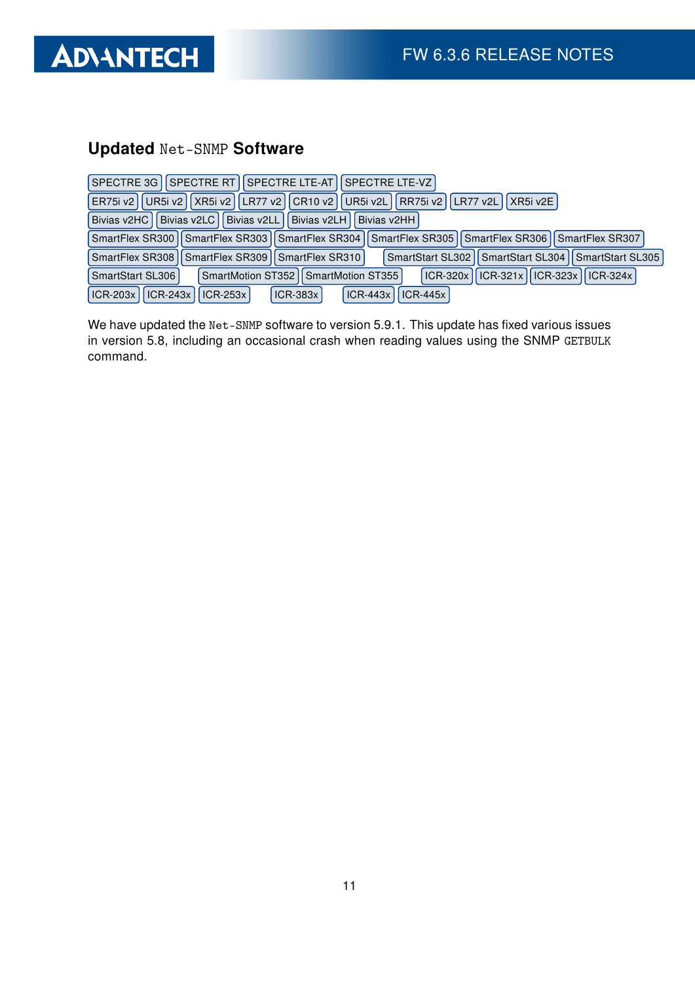

# Updated Net-SNMP Software

| SPECTRE 3G   SPECTRE RT   SPECTRE LTE-AT   SPECTRE LTE-VZ                                                         |
|-------------------------------------------------------------------------------------------------------------------|
| LR77 v2    CR10 v2    UR5i v2L    RR75i v2    LR77 v2L    XR5i v2E  <br>UR5i v2   XR5i v2  <br>ER75i v2           |
| Bivias v2LL Bivias v2LH<br>Bivias v2LC<br>Bivias v2HC<br>Bivias v2HH                                              |
| SmartFlex SR300   SmartFlex SR303   SmartFlex SR304   SmartFlex SR305   SmartFlex SR306   SmartFlex SR307         |
| SmartFlex SR308   SmartFlex SR309   SmartFlex SR310  <br>SmartStart SL302    SmartStart SL304    SmartStart SL305 |
| ICR-320x    ICR-321x    ICR-323x    ICR-324x  <br>SmartMotion ST352   SmartMotion ST355  <br>SmartStart SL306     |
| $\vert$ ICR-243x<br>$ICR-203x$<br>$ ICR-253x $<br>$ICR-443x$<br>$ICR-445x$<br>$ICR-383x$                          |

We have updated the Net-SNMP software to version 5.9.1. This update has fixed various issues in version 5.8, including an occasional crash when reading values using the SNMP GETBULK command.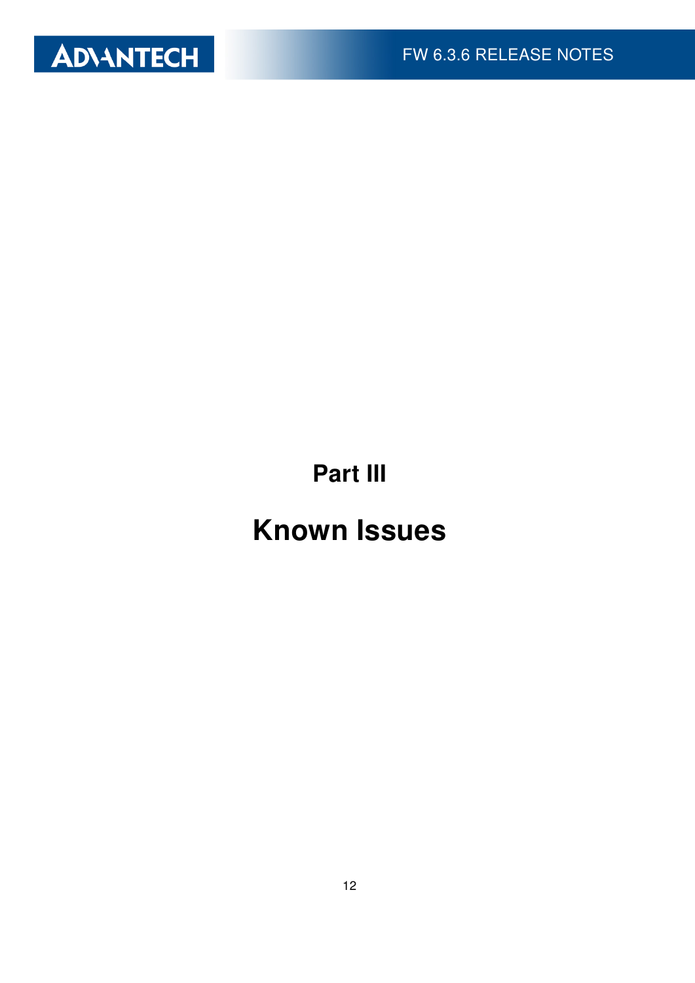

Part III

# Known Issues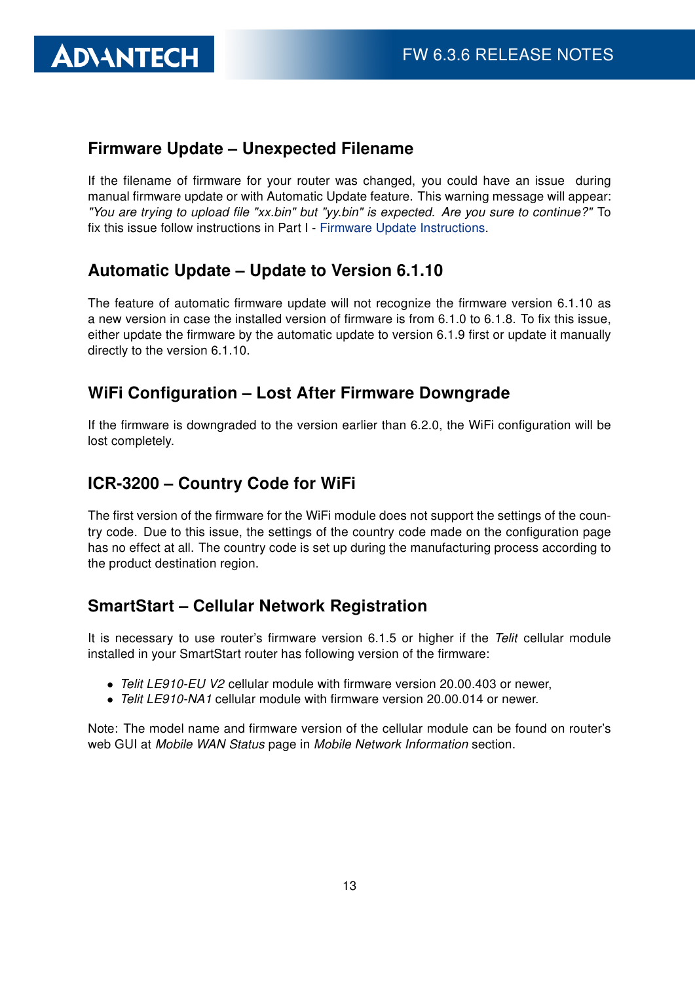#### Firmware Update – Unexpected Filename

If the filename of firmware for your router was changed, you could have an issue during manual firmware update or with Automatic Update feature. This warning message will appear: "You are trying to upload file "xx.bin" but "yy.bin" is expected. Are you sure to continue?" To fix this issue follow instructions in Part I - [Firmware Update Instructions.](#page-2-0)

#### Automatic Update – Update to Version 6.1.10

The feature of automatic firmware update will not recognize the firmware version 6.1.10 as a new version in case the installed version of firmware is from 6.1.0 to 6.1.8. To fix this issue, either update the firmware by the automatic update to version 6.1.9 first or update it manually directly to the version 6.1.10.

#### WiFi Configuration – Lost After Firmware Downgrade

If the firmware is downgraded to the version earlier than 6.2.0, the WiFi configuration will be lost completely.

#### ICR-3200 – Country Code for WiFi

The first version of the firmware for the WiFi module does not support the settings of the country code. Due to this issue, the settings of the country code made on the configuration page has no effect at all. The country code is set up during the manufacturing process according to the product destination region.

#### SmartStart – Cellular Network Registration

It is necessary to use router's firmware version 6.1.5 or higher if the Telit cellular module installed in your SmartStart router has following version of the firmware:

- Telit LE910-EU V2 cellular module with firmware version 20.00.403 or newer,
- Telit LE910-NA1 cellular module with firmware version 20,000,014 or newer.

Note: The model name and firmware version of the cellular module can be found on router's web GUI at Mobile WAN Status page in Mobile Network Information section.